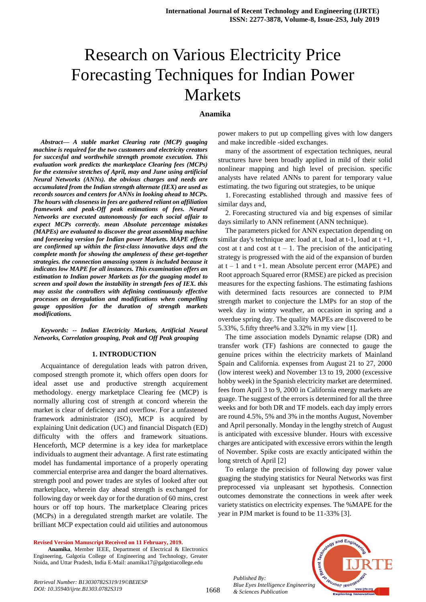# Research on Various Electricity Price Forecasting Techniques for Indian Power Markets

# **Anamika**

*Abstract***—** *A stable market Clearing rate (MCP) guaging machine is required for the two customers and electricity creators for succesful and worthwhile strength promote execution. This evaluation work predicts the marketplace Clearing fees (MCPs) for the extensive stretches of April, may and June using artificial Neural Networks (ANNs). the obvious charges and needs are accumulated from the Indian strength alternate (IEX) are used as records sources and centers for ANNs in looking ahead to MCPs. The hours with closeness in fees are gathered reliant on affiliation framework and peak-Off peak estimations of fees. Neural Networks are executed autonomously for each social affair to expect MCPs correctly. mean Absolute percentage mistakes (MAPEs) are evaluated to discover the great assembling machine and foreseeing version for Indian power Markets. MAPE effects are confirmed up within the first-class innovative days and the complete month for showing the ampleness of these get-together strategies. the connection amassing system is included because it indicates low MAPE for all instances. This examination offers an estimation to Indian power Markets as for the guaging model to screen and spoil down the instability in strength fees of IEX. this may assist the controllers with defining continuously effective processes on deregulation and modifications when compelling gauge opposition for the duration of strength markets modifications.*

*Keywords: -- Indian Electricity Markets, Artificial Neural Networks, Correlation grouping, Peak and Off Peak grouping*

#### **1. INTRODUCTION**

Acquaintance of deregulation leads with patron driven, composed strength promote it, which offers open doors for ideal asset use and productive strength acquirement methodology. energy marketplace Clearing fee (MCP) is normally alluring cost of strength at concord wherein the market is clear of deficiency and overflow. For a unfastened framework administrator (ISO), MCP is acquired by explaining Unit dedication (UC) and financial Dispatch (ED) difficulty with the offers and framework situations. Henceforth, MCP determine is a key idea for marketplace individuals to augment their advantage. A first rate estimating model has fundamental importance of a properly operating commercial enterprise area and danger the board alternatives. strength pool and power trades are styles of looked after out marketplace, wherein day ahead strength is exchanged for following day or week day or for the duration of 60 mins, crest hours or off top hours. The marketplace Clearing prices (MCPs) in a deregulated strength market are volatile. The brilliant MCP expectation could aid utilities and autonomous

**Revised Version Manuscript Received on 11 February, 2019.**

**Anamika**, Member IEEE, Department of Electrical & Electronics Engineering, Galgotia College of Engineering and Technology, Greater Noida, and Uttar Pradesh, India E-Mail: anamika17@galgotiacollege.edu

power makers to put up compelling gives with low dangers and make incredible -sided exchanges.

many of the assortment of expectation techniques, neural structures have been broadly applied in mild of their solid nonlinear mapping and high level of precision. specific analysts have related ANNs to parent for temporary value estimating. the two figuring out strategies, to be unique

1. Forecasting established through and massive fees of similar days and,

2. Forecasting structured via and big expenses of similar days similarly to ANN refinement (ANN technique).

The parameters picked for ANN expectation depending on similar day's technique are: load at t, load at  $t-1$ , load at  $t+1$ , cost at t and cost at  $t - 1$ . The precision of the anticipating strategy is progressed with the aid of the expansion of burden at  $t - 1$  and  $t + 1$ . mean Absolute percent error (MAPE) and Root approach Squared error (RMSE) are picked as precision measures for the expecting fashions. The estimating fashions with determined facts resources are connected to PJM strength market to conjecture the LMPs for an stop of the week day in wintry weather, an occasion in spring and a overdue spring day. The quality MAPEs are discovered to be 5.33%, 5.fifty three% and 3.32% in my view [1].

The time association models Dynamic relapse (DR) and transfer work (TF) fashions are connected to gauge the genuine prices within the electricity markets of Mainland Spain and California. expenses from August 21 to 27, 2000 (low interest week) and November 13 to 19, 2000 (excessive hobby week) in the Spanish electricity market are determined. fees from April 3 to 9, 2000 in California energy markets are guage. The suggest of the errors is determined for all the three weeks and for both DR and TF models. each day imply errors are round 4.5%, 5% and 3% in the months August, November and April personally. Monday in the lengthy stretch of August is anticipated with excessive blunder. Hours with excessive charges are anticipated with excessive errors within the length of November. Spike costs are exactly anticipated within the long stretch of April [2]

To enlarge the precision of following day power value guaging the studying statistics for Neural Networks was first preprocessed via unpleasant set hypothesis. Connection outcomes demonstrate the connections in week after week variety statistics on electricity expenses. The %MAPE for the year in PJM market is found to be 11-33% [3].



*Retrieval Number: B13030782S319/19©BEIESP DOI: 10.35940/ijrte.B1303.0782S319*

*Published By:*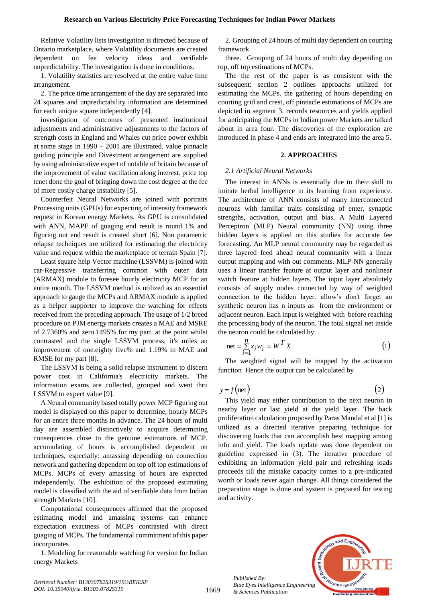Relative Volatility lists investigation is directed because of Ontario marketplace, where Volatility documents are created dependent on fee velocity ideas and verifiable unpredictability. The investigation is done in conditions.

1. Volatility statistics are resolved at the entire value time arrangement.

2. The price time arrangement of the day are separated into 24 squares and unpredictability information are determined for each unique square independently [4].

investigation of outcomes of presented institutional adjustments and administrative adjustments to the factors of strength costs in England and Whales cut price power exhibit at some stage in 1990 – 2001 are illustrated. value pinnacle guiding principle and Divestment arrangement are supplied by using administrative expert of notable of britain because of the improvement of value vacillation along interest. price top tenet done the goal of bringing down the cost degree at the fee of more costly charge instability [5].

Counterfeit Neural Networks are joined with portraits Processing units (GPUs) for expecting of intensity framework request in Korean energy Markets. As GPU is consolidated with ANN, MAPE of guaging end result is round 1% and figuring out end result is created short [6]. Non parametric relapse techniques are utilized for estimating the electricity value and request within the marketplace of terrain Spain [7].

Least square help Vector machine (LSSVM) is joined with car-Regressive transferring common with outer data (ARMAX) module to foresee hourly electricity MCP for an entire month. The LSSVM method is utilized as an essential approach to gauge the MCPs and ARMAX module is applied as a helper supporter to improve the watching for effects received from the preceding approach. The usage of 1/2 breed procedure on PJM energy markets creates a MAE and MSRE of 2.7360% and zero.1495% for my part. at the point whilst contrasted and the single LSSVM process, it's miles an improvement of one.eighty five% and 1.19% in MAE and RMSE for my part [8].

The LSSVM is being a solid relapse instrument to discern power cost in California's electricity markets. The information exams are collected, grouped and went thru LSSVM to expect value [9].

A Neural community based totally power MCP figuring out model is displayed on this paper to determine, hourly MCPs for an entire three months in advance. The 24 hours of multi day are assembled distinctively to acquire determining consequences close to the genuine estimations of MCP. accumulating of hours is accomplished dependent on techniques, especially: amassing depending on connection network and gathering dependent on top off top estimations of MCPs. MCPs of every amassing of hours are expected independently. The exhibition of the proposed estimating model is classified with the aid of verifiable data from Indian strength Markets [10].

Computational consequences affirmed that the proposed estimating model and amassing systems can enhance expectation exactness of MCPs contrasted with direct guaging of MCPs. The fundamental commitment of this paper incorporates

1. Modeling for reasonable watching for version for Indian energy Markets

2. Grouping of 24 hours of multi day dependent on courting framework

three. Grouping of 24 hours of multi day depending on top, off top estimations of MCPs.

The the rest of the paper is as consistent with the subsequent: section 2 outlines approachs utilized for estimating the MCPs. the gathering of hours depending on courting grid and crest, off pinnacle estimations of MCPs are depicted in segment 3. records resources and yields applied for anticipating the MCPs in Indian power Markets are talked about in area four. The discoveries of the exploration are introduced in phase 4 and ends are integrated into the area 5.

## **2. APPROACHES**

## *2.1 Artificial Neural Networks*

The interest in ANNs is essentially due to their skill to imitate herbal intelligence in its learning from experience. The architecture of ANN consists of many interconnected neurons with familiar traits consisting of enter, synaptic strengths, activation, output and bias. A Multi Layered Perceptron (MLP) Neural community (NN) using three hidden layers is applied on this studies for accurate fee forecasting. An MLP neural community may be regarded as three layered feed ahead neural community with a linear output mapping and with out comments. MLP-NN generally uses a linear transfer feature at output layer and nonlinear switch feature at hidden layers. The input layer absolutely consists of supply nodes connected by way of weighted connection to the hidden layer. allow's don't forget an synthetic neuron has n inputs as from the environment or adjacent neuron. Each input is weighted with before reaching the processing body of the neuron. The total signal net inside the neuron could be calculated by

$$
net = \sum_{i=1}^{n} x_i w_i = W^T X
$$
 (1)

The weighted signal will be mapped by the activation function Hence the output can be calculated by

$$
y = f(\text{net})\tag{2}
$$

This yield may either contribution to the next neuron in nearby layer or last yield at the yield layer. The back proliferation calculation proposed by Paras Mandal et al [1] is utilized as a directed iterative preparing technique for discovering loads that can accomplish best mapping among info and yield. The loads update was done dependent on guideline expressed in (3). The iterative procedure of exhibiting an information yield pair and refreshing loads proceeds till the mistake capacity comes to a pre-indicated worth or loads never again change. All things considered the preparation stage is done and system is prepared for testing and activity.



*Published By: Blue Eyes Intelligence Engineering & Sciences Publication* 

1669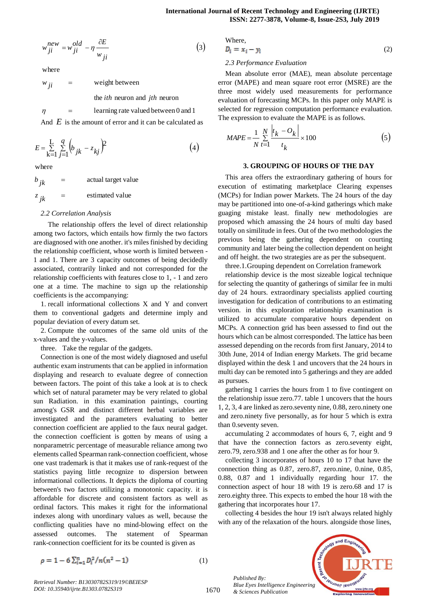$$
w_{ji}^{new} = w_{ji}^{old} - \eta \frac{\partial E}{w_{ji}} \tag{3}
$$

where

weight between  $=$  $w$ <sub>ii</sub>

 $=$ 

the *ith* neuron and *jth* neuron

learning rate valued between 0 and 1

And E is the amount of error and it can be calculated as

$$
E = \sum_{k=1}^{L} \sum_{j=1}^{q} \left( b_{jk} - z_{kj} \right)^2
$$
 (4)

where

 $\eta$ 

estimated value actual target value  $=$  $=$  $z$ <sub>*jk*</sub>  $\boldsymbol{b}$ <sub>*ik*</sub>

## *2.2 Correlation Analysis*

The relationship offers the level of direct relationship among two factors, which entails how firmly the two factors are diagnosed with one another. it's miles finished by deciding the relationship coefficient, whose worth is limited between - 1 and 1. There are 3 capacity outcomes of being decidedly associated, contrarily linked and not corresponded for the relationship coefficients with features close to 1, - 1 and zero one at a time. The machine to sign up the relationship coefficients is the accompanying:

1. recall informational collections X and Y and convert them to conventional gadgets and determine imply and popular deviation of every datum set.

2. Compute the outcomes of the same old units of the x-values and the y-values.

three. Take the regular of the gadgets.

Connection is one of the most widely diagnosed and useful authentic exam instruments that can be applied in information displaying and research to evaluate degree of connection between factors. The point of this take a look at is to check which set of natural parameter may be very related to global sun Radiation. in this examination paintings, courting among's GSR and distinct different herbal variables are investigated and the parameters evaluating to better connection coefficient are applied to the faux neural gadget. the connection coefficient is gotten by means of using a nonparametric percentage of measurable reliance among two elements called Spearman rank-connection coefficient, whose one vast trademark is that it makes use of rank-request of the statistics paying little recognize to dispersion between informational collections. It depicts the diploma of courting between's two factors utilizing a monotonic capacity. it is affordable for discrete and consistent factors as well as ordinal factors. This makes it right for the informational indexes along with unordinary values as well, because the conflicting qualities have no mind-blowing effect on the assessed outcomes. The statement of Spearman rank-connection coefficient for its be counted is given as

Where,  

$$
D_i = x_i - y_i
$$
 (2)

#### *2.3 Performance Evaluation*

Mean absolute error (MAE), mean absolute percentage error (MAPE) and mean square root error (MSRE) are the three most widely used measurements for performance evaluation of forecasting MCPs. In this paper only MAPE is selected for regression computation performance evaluation. The expression to evaluate the MAPE is as follows.

$$
MAPE = \frac{1}{N} \sum_{t=1}^{N} \frac{|t_k - O_k|}{t_k} \times 100
$$
 (5)

#### **3. GROUPING OF HOURS OF THE DAY**

This area offers the extraordinary gathering of hours for execution of estimating marketplace Clearing expenses (MCPs) for Indian power Markets. The 24 hours of the day may be partitioned into one-of-a-kind gatherings which make guaging mistake least. finally new methodologies are proposed which amassing the 24 hours of multi day based totally on similitude in fees. Out of the two methodologies the previous being the gathering dependent on courting community and later being the collection dependent on height and off height. the two strategies are as per the subsequent.

three.1.Grouping dependent on Correlation framework

relationship device is the most sizeable logical technique for selecting the quantity of gatherings of similar fee in multi day of 24 hours. extraordinary specialists applied courting investigation for dedication of contributions to an estimating version. in this exploration relationship examination is utilized to accumulate comparative hours dependent on MCPs. A connection grid has been assessed to find out the hours which can be almost corresponded. The lattice has been assessed depending on the records from first January, 2014 to 30th June, 2014 of Indian energy Markets. The grid became displayed within the desk 1 and uncovers that the 24 hours in multi day can be remoted into 5 gatherings and they are added as pursues.

gathering 1 carries the hours from 1 to five contingent on the relationship issue zero.77. table 1 uncovers that the hours 1, 2, 3, 4 are linked as zero.seventy nine, 0.88, zero.ninety one and zero.ninety five personally, as for hour 5 which is extra than 0.seventy seven.

accumulating 2 accommodates of hours 6, 7, eight and 9 that have the connection factors as zero.seventy eight, zero.79, zero.938 and 1 one after the other as for hour 9.

collecting 3 incorporates of hours 10 to 17 that have the connection thing as 0.87, zero.87, zero.nine, 0.nine, 0.85, 0.88, 0.87 and 1 individually regarding hour 17. the connection aspect of hour 18 with 19 is zero.68 and 17 is zero.eighty three. This expects to embed the hour 18 with the gathering that incorporates hour 17.

collecting 4 besides the hour 19 isn't always related highly with any of the relaxation of the hours, alongside those lines,



$$
\rho = 1 - 6 \sum_{i=1}^{n} \frac{D_i^2}{n(n^2 - 1)} \tag{1}
$$

*Retrieval Number: B13030782S319/19©BEIESP DOI: 10.35940/ijrte.B1303.0782S319*

1670

*Published By: Blue Eyes Intelligence Engineering & Sciences Publication*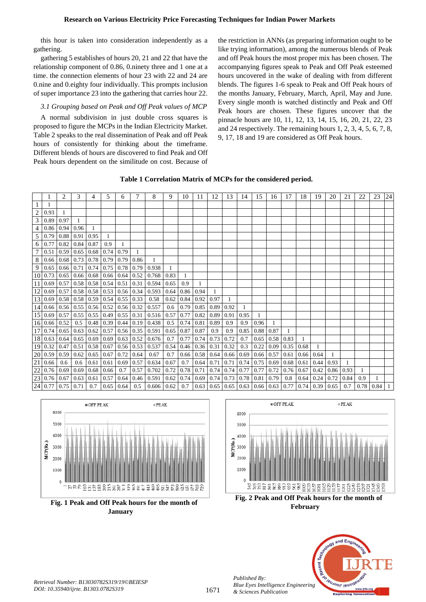this hour is taken into consideration independently as a gathering.

gathering 5 establishes of hours 20, 21 and 22 that have the relationship component of 0.86, 0.ninety three and 1 one at a time. the connection elements of hour 23 with 22 and 24 are 0.nine and 0.eighty four individually. This prompts inclusion of super importance 23 into the gathering that carries hour 22.

# *3.1 Grouping based on Peak and Off Peak values of MCP*

A normal subdivision in just double cross squares is proposed to figure the MCPs in the Indian Electricity Market. Table 2 speaks to the real dissemination of Peak and off Peak hours of consistently for thinking about the timeframe. Different blends of hours are discovered to find Peak and Off Peak hours dependent on the similitude on cost. Because of

the restriction in ANNs (as preparing information ought to be like trying information), among the numerous blends of Peak and off Peak hours the most proper mix has been chosen. The accompanying figures speak to Peak and Off Peak esteemed hours uncovered in the wake of dealing with from different blends. The figures 1-6 speak to Peak and Off Peak hours of the months January, February, March, April, May and June. Every single month is watched distinctly and Peak and Off Peak hours are chosen. These figures uncover that the pinnacle hours are 10, 11, 12, 13, 14, 15, 16, 20, 21, 22, 23 and 24 respectively. The remaining hours 1, 2, 3, 4, 5, 6, 7, 8, 9, 17, 18 and 19 are considered as Off Peak hours.

|  |  |  |  | Table 1 Correlation Matrix of MCPs for the considered period. |  |
|--|--|--|--|---------------------------------------------------------------|--|
|--|--|--|--|---------------------------------------------------------------|--|





**January**



**Fig. 2 Peak and Off Peak hours for the month of February**



*Published By:*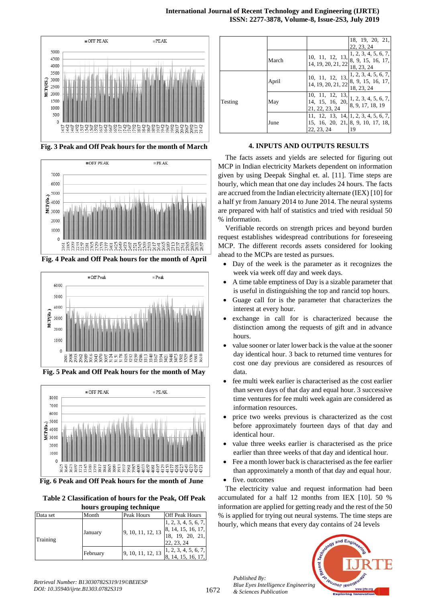

**Fig. 3 Peak and Off Peak hours for the month of March**



**Fig. 4 Peak and Off Peak hours for the month of April**



**Fig. 5 Peak and Off Peak hours for the month of May**



**Fig. 6 Peak and Off Peak hours for the month of June**

| Table 2 Classification of hours for the Peak, Off Peak |  |  |  |
|--------------------------------------------------------|--|--|--|
| hours grouping technique                               |  |  |  |

| Data set | Month    | Peak Hours        | <b>Off Peak Hours</b>                                                       |
|----------|----------|-------------------|-----------------------------------------------------------------------------|
| Training | January  | 9, 10, 11, 12, 13 | 1, 2, 3, 4, 5, 6, 7,<br>8, 14, 15, 16, 17,<br>18, 19, 20, 21,<br>22, 23, 24 |
|          | February | 9, 10, 11, 12, 13 | 1, 2, 3, 4, 5, 6, 7,<br>8, 14, 15, 16, 17,                                  |

|         |       |                                                                          | 18, 19, 20, 21,<br>22, 23, 24                                                                                    |
|---------|-------|--------------------------------------------------------------------------|------------------------------------------------------------------------------------------------------------------|
|         | March | 14, 19, 20, 21, 22 $\begin{bmatrix} 5 & 7 \\ 18 & 23 & 24 \end{bmatrix}$ | 10, 11, 12, 13, $\begin{bmatrix} 1 & 2 & 3 \\ 0 & 0 & 1 \end{bmatrix}$<br>8, 9, 15, 16, 17,                      |
|         | April | 14, 19, 20, 21, 22                                                       | 10, 11, 12, 13, $\begin{vmatrix} 1 & 2 & 3 & 4 & 5 & 6 & 7 \\ 0 & 0 & 1 & 5 & 6 & 7 \end{vmatrix}$<br>18, 23, 24 |
| Testing | May   | 21, 22, 23, 24                                                           | 10, 11, 12, 13, 1, 2, 3, 4, 5, 6, 7,<br>8, 9, 17, 18, 19                                                         |
|         | June  | 22, 23, 24                                                               | 11, 12, 13, 14, 1, 2, 3, 4, 5, 6, 7,<br>15, 16, 20, 21, 8, 9, 10, 17, 18,<br>19                                  |

# **4. INPUTS AND OUTPUTS RESULTS**

The facts assets and yields are selected for figuring out MCP in Indian electricity Markets dependent on information given by using Deepak Singhal et. al. [11]. Time steps are hourly, which mean that one day includes 24 hours. The facts are accrued from the Indian electricity alternate (IEX) [10] for a half yr from January 2014 to June 2014. The neural systems are prepared with half of statistics and tried with residual 50 % information.

Verifiable records on strength prices and beyond burden request establishes widespread contributions for foreseeing MCP. The different records assets considered for looking ahead to the MCPs are tested as pursues.

- Day of the week is the parameter as it recognizes the week via week off day and week days.
- A time table emptiness of Day is a sizable parameter that is useful in distinguishing the top and rancid top hours.
- Guage call for is the parameter that characterizes the interest at every hour.
- exchange in call for is characterized because the distinction among the requests of gift and in advance hours.
- value sooner or later lower back is the value at the sooner day identical hour. 3 back to returned time ventures for cost one day previous are considered as resources of data.
- fee multi week earlier is characterised as the cost earlier than seven days of that day and equal hour. 3 successive time ventures for fee multi week again are considered as information resources.
- price two weeks previous is characterized as the cost before approximately fourteen days of that day and identical hour.
- value three weeks earlier is characterised as the price earlier than three weeks of that day and identical hour.
- Fee a month lower back is characterised as the fee earlier than approximately a month of that day and equal hour. five. outcomes
- 

*Published By:*

*& Sciences Publication* 

The electricity value and request information had been accumulated for a half 12 months from IEX [10]. 50 % information are applied for getting ready and the rest of the 50 % is applied for trying out neural systems. The time steps are hourly, which means that every day contains of 24 levels

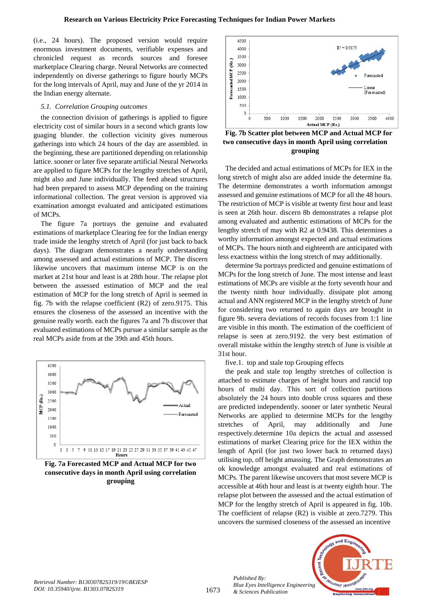(i.e., 24 hours). The proposed version would require enormous investment documents, verifiable expenses and chronicled request as records sources and foresee marketplace Clearing charge. Neural Networks are connected independently on diverse gatherings to figure hourly MCPs for the long intervals of April, may and June of the yr 2014 in the Indian energy alternate.

## *5.1. Correlation Grouping outcomes*

the connection division of gatherings is applied to figure electricity cost of similar hours in a second which grants low guaging blunder. the collection vicinity gives numerous gatherings into which 24 hours of the day are assembled. in the beginning, these are partitioned depending on relationship lattice. sooner or later five separate artificial Neural Networks are applied to figure MCPs for the lengthy stretches of April, might also and June individually. The feed ahead structures had been prepared to assess MCP depending on the training informational collection. The great version is approved via examination amongst evaluated and anticipated estimations of MCPs.

The figure 7a portrays the genuine and evaluated estimations of marketplace Clearing fee for the Indian energy trade inside the lengthy stretch of April (for just back to back days). The diagram demonstrates a nearly understanding among assessed and actual estimations of MCP. The discern likewise uncovers that maximum intense MCP is on the market at 21st hour and least is at 28th hour. The relapse plot between the assessed estimation of MCP and the real estimation of MCP for the long stretch of April is seemed in fig. 7b with the relapse coefficient (R2) of zero.9175. This ensures the closeness of the assessed an incentive with the genuine really worth. each the figures 7a and 7b discover that evaluated estimations of MCPs pursue a similar sample as the real MCPs aside from at the 39th and 45th hours.



**Fig. 7a Forecasted MCP and Actual MCP for two consecutive days in month April using correlation grouping**



**Fig. 7b Scatter plot between MCP and Actual MCP for two consecutive days in month April using correlation grouping**

The decided and actual estimations of MCPs for IEX in the long stretch of might also are added inside the determine 8a. The determine demonstrates a worth information amongst assessed and genuine estimations of MCP for all the 48 hours. The restriction of MCP is visible at twenty first hour and least is seen at 26th hour. discern 8b demonstrates a relapse plot among evaluated and authentic estimations of MCPs for the lengthy stretch of may with R2 at 0.9438. This determines a worthy information amongst expected and actual estimations of MCPs. The hours ninth and eighteenth are anticipated with less exactness within the long stretch of may additionally.

determine 9a portrays predicted and genuine estimations of MCPs for the long stretch of June. The most intense and least estimations of MCPs are visible at the forty seventh hour and the twenty ninth hour individually. dissipate plot among actual and ANN registered MCP in the lengthy stretch of June for considering two returned to again days are brought in figure 9b. severa deviations of records focuses from 1:1 line are visible in this month. The estimation of the coefficient of relapse is seen at zero.9192. the very best estimation of overall mistake within the lengthy stretch of June is visible at 31st hour.

five.1. top and stale top Grouping effects

the peak and stale top lengthy stretches of collection is attached to estimate charges of height hours and rancid top hours of multi day. This sort of collection partitions absolutely the 24 hours into double cross squares and these are predicted independently. sooner or later synthetic Neural Networks are applied to determine MCPs for the lengthy stretches of April, may additionally and June respectively.determine 10a depicts the actual and assessed estimations of market Clearing price for the IEX within the length of April (for just two lower back to returned days) utilising top, off height amassing. The Graph demonstrates an ok knowledge amongst evaluated and real estimations of MCPs. The parent likewise uncovers that most severe MCP is accessible at 46th hour and least is at twenty eighth hour. The relapse plot between the assessed and the actual estimation of MCP for the lengthy stretch of April is appeared in fig. 10b. The coefficient of relapse (R2) is visible at zero.7279. This uncovers the surmised closeness of the assessed an incentive



*Published By:*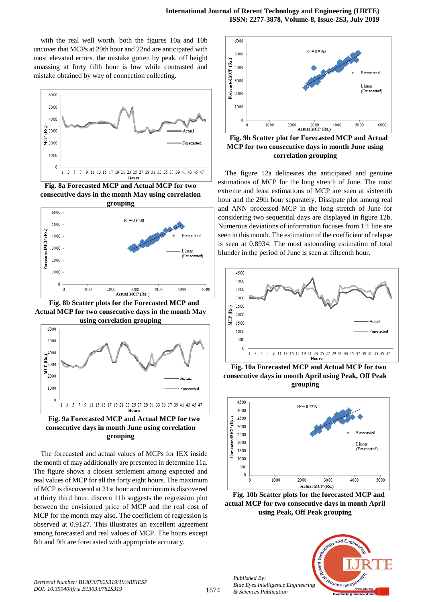with the real well worth. both the figures 10a and 10b uncover that MCPs at 29th hour and 22nd are anticipated with most elevated errors. the mistake gotten by peak, off height amassing at forty fifth hour is low while contrasted and mistake obtained by way of connection collecting.



**Fig. 8a Forecasted MCP and Actual MCP for two consecutive days in the month May using correlation grouping**



**Fig. 8b Scatter plots for the Forecasted MCP and Actual MCP for two consecutive days in the month May using correlation grouping**





The forecasted and actual values of MCPs for IEX inside the month of may additionally are presented in determine 11a. The figure shows a closest settlement among expected and real values of MCP for all the forty eight hours. The maximum of MCP is discovered at 21st hour and minimum is discovered at thirty third hour. discern 11b suggests the regression plot between the envisioned price of MCP and the real cost of MCP for the month may also. The coefficient of regression is observed at 0.9127. This illustrates an excellent agreement among forecasted and real values of MCP. The hours except 8th and 9th are forecasted with appropriate accuracy.



**Fig. 9b Scatter plot for Forecasted MCP and Actual MCP for two consecutive days in month June using correlation grouping**

The figure 12a delineates the anticipated and genuine estimations of MCP for the long stretch of June. The most extreme and least estimations of MCP are seen at sixteenth hour and the 29th hour separately. Dissipate plot among real and ANN processed MCP in the long stretch of June for considering two sequential days are displayed in figure 12b. Numerous deviations of information focuses from 1:1 line are seen in this month. The estimation of the coefficient of relapse is seen at 0.8934. The most astounding estimation of total blunder in the period of June is seen at fifteenth hour.



**Fig. 10a Forecasted MCP and Actual MCP for two consecutive days in month April using Peak, Off Peak grouping**



**Fig. 10b Scatter plots for the forecasted MCP and actual MCP for two consecutive days in month April using Peak, Off Peak grouping**



*Published By:*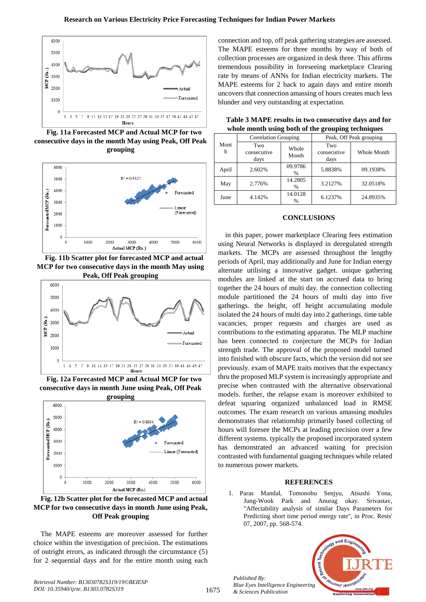

**Fig. 11a Forecasted MCP and Actual MCP for two consecutive days in the month May using Peak, Off Peak grouping**



**Fig. 11b Scatter plot for forecasted MCP and actual MCP for two consecutive days in the month May using** 



**Fig. 12a Forecasted MCP and Actual MCP for two consecutive days in month June using Peak, Off Peak** 



**Fig. 12b Scatter plot for the forecasted MCP and actual MCP for two consecutive days in month June using Peak, Off Peak grouping**

The MAPE esteems are moreover assessed for further choice within the investigation of precision. The estimations of outright errors, as indicated through the circumstance (5) for 2 sequential days and for the entire month using each connection and top, off peak gathering strategies are assessed. The MAPE esteems for three months by way of both of collection processes are organized in desk three. This affirms tremendous possibility in foreseeing marketplace Clearing rate by means of ANNs for Indian electricity markets. The MAPE esteems for 2 back to again days and entire month uncovers that connection amassing of hours creates much less blunder and very outstanding at expectation.

**Table 3 MAPE results in two consecutive days and for whole month using both of the grouping techniques**

| Mont<br>h | <b>Correlation Grouping</b> |                 | Peak, Off Peak grouping    |             |  |
|-----------|-----------------------------|-----------------|----------------------------|-------------|--|
|           | Two<br>consecutive<br>days  | Whole<br>Month  | Two<br>consecutive<br>days | Whole Month |  |
| April     | 2.602%                      | 09.9786<br>%    | 5.8838%                    | 09.1938%    |  |
| May       | 2.776%                      | 14.2805<br>$\%$ | 3.2127%                    | 32.0518%    |  |
| June      | 4.142%                      | 14.0128<br>$\%$ | 6.1237%                    | 24.8935%    |  |

# **CONCLUSIONS**

in this paper, power marketplace Clearing fees estimation using Neural Networks is displayed in deregulated strength markets. The MCPs are assessed throughout the lengthy periods of April, may additionally and June for Indian energy alternate utilising a innovative gadget. unique gathering modules are linked at the start on accrued data to bring together the 24 hours of multi day. the connection collecting module partitioned the 24 hours of multi day into five gatherings. the height, off height accumulating module isolated the 24 hours of multi day into 2 gatherings. time table vacancies, proper requests and charges are used as contributions to the estimating apparatus. The MLP machine has been connected to conjecture the MCPs for Indian strength trade. The approval of the proposed model turned into finished with obscure facts, which the version did not see previously. exam of MAPE traits motives that the expectancy thru the proposed MLP system is increasingly appropriate and precise when contrasted with the alternative observational models. further, the relapse exam is moreover exhibited to defeat squaring organized unbalanced load in RMSE outcomes. The exam research on various amassing modules demonstrates that relationship primarily based collecting of hours will foresee the MCPs at leading precision over a few different systems. typically the proposed incorporated system has demonstrated an advanced waiting for precision contrasted with fundamental guaging techniques while related to numerous power markets.

#### **REFERENCES**

1. Paras Mandal, Tomonobu Senjyu, Atsushi Yona, Jung-Wook Park and Anurag okay. Srivastav, "Affectability analysis of similar Days Parameters for Predicting short time period energy rate", in Proc. Rests' 07, 2007, pp. 568-574.



*Retrieval Number: B13030782S319/19©BEIESP DOI: 10.35940/ijrte. B1303.0782S319*

*Published By:*